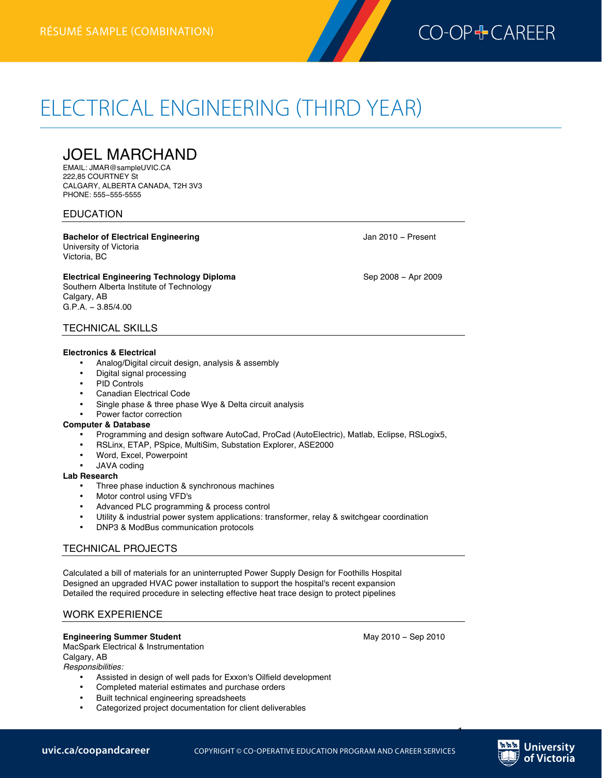

# ELECTRICAL ENGINEERING (THIRD YEAR) **Electrical Engineering résumé (third year)—combination**

JOEL MARCHAND

EMAIL: JMAR@sampleUVIC.CA 222,85 COURTNEY St CALGARY, ALBERTA CANADA, T2H 3V3 PHONE: 555−555-5555

# EDUCATION

**Bachelor of Electrical Engineering Bachelor of Electrical Engineering Jan 2010 − Present** University of Victoria Victoria, BC

Electrical Engineering Technology Diploma **below** Sep 2008 − Apr 2009 Southern Alberta Institute of Technology Calgary, AB G.P.A. − 3.85/4.00

# TECHNICAL SKILLS

## **Electronics & Electrical**

- Analog/Digital circuit design, analysis & assembly
- Digital signal processing
- PID Controls
- Canadian Electrical Code
- Single phase & three phase Wye & Delta circuit analysis
- Power factor correction

#### **Computer & Database**

- Programming and design software AutoCad, ProCad (AutoElectric), Matlab, Eclipse, RSLogix5,
- RSLinx, ETAP, PSpice, MultiSim, Substation Explorer, ASE2000
- Word, Excel, Powerpoint
- JAVA coding

#### **Lab Research**

- Three phase induction & synchronous machines
- Motor control using VFD's
- Advanced PLC programming & process control
- Utility & industrial power system applications: transformer, relay & switchgear coordination
- DNP3 & ModBus communication protocols

# TECHNICAL PROJECTS

Calculated a bill of materials for an uninterrupted Power Supply Design for Foothills Hospital Designed an upgraded HVAC power installation to support the hospital's recent expansion Detailed the required procedure in selecting effective heat trace design to protect pipelines

## WORK EXPERIENCE

## **Engineering Summer Student** May 2010 − Sep 2010

MacSpark Electrical & Instrumentation

Calgary, AB

*Responsibilities:*

- Assisted in design of well pads for Exxon's Oilfield development
- Completed material estimates and purchase orders
- Built technical engineering spreadsheets
- Categorized project documentation for client deliverables



1